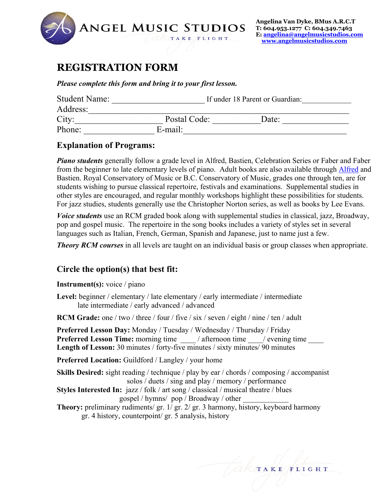

# **REGISTRATION FORM**

*Please complete this form and bring it to your first lesson.*

| <b>Student Name:</b> | If under 18 Parent or Guardian: |       |  |
|----------------------|---------------------------------|-------|--|
| Address:             |                                 |       |  |
| City:                | Postal Code:                    | Date: |  |
| Phone:               | $E$ -mail:                      |       |  |

#### **Explanation of Programs:**

*Piano students* generally follow a grade level in Alfred, Bastien, Celebration Series or Faber and Faber from the beginner to late elementary levels of piano. Adult books are also available through Alfred and Bastien. Royal Conservatory of Music or B.C. Conservatory of Music, grades one through ten, are for students wishing to pursue classical repertoire, festivals and examinations. Supplemental studies in other styles are encouraged, and regular monthly workshops highlight these possibilities for students. For jazz studies, students generally use the Christopher Norton series, as well as books by Lee Evans.

*Voice students* use an RCM graded book along with supplemental studies in classical, jazz, Broadway, pop and gospel music. The repertoire in the song books includes a variety of styles set in several languages such as Italian, French, German, Spanish and Japanese, just to name just a few.

*Theory RCM courses* in all levels are taught on an individual basis or group classes when appropriate.

### **Circle the option(s) that best fit:**

#### **Instrument(s):** voice / piano

**Level:** beginner / elementary / late elementary / early intermediate / intermediate late intermediate / early advanced / advanced

**RCM Grade:** one / two / three / four / five / six / seven / eight / nine / ten / adult

**Preferred Lesson Day:** Monday / Tuesday / Wednesday / Thursday / Friday **Preferred Lesson Time:** morning time \_\_\_\_ / afternoon time \_\_\_\_/ evening time \_\_\_\_ **Length of Lesson:** 30 minutes / forty-five minutes / sixty minutes/ 90 minutes

**Preferred Location:** Guildford / Langley / your home

**Skills Desired:** sight reading / technique / play by ear / chords / composing / accompanist solos / duets / sing and play / memory / performance

- **Styles Interested In:** jazz / folk / art song / classical / musical theatre / blues gospel / hymns/ pop / Broadway / other \_\_\_\_\_\_\_\_\_\_\_\_
- **Theory:** preliminary rudiments/ gr. 1/ gr. 2/ gr. 3 harmony, history, keyboard harmony gr. 4 history, counterpoint/ gr. 5 analysis, history

TAKE FLIGHT